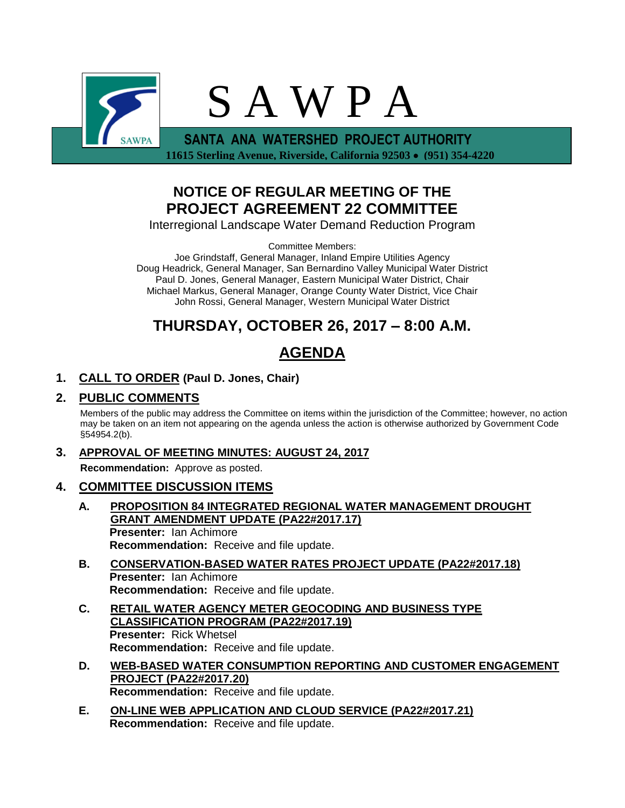

 **11615 Sterling Avenue, Riverside, California 92503 (951) 354-4220**

## **NOTICE OF REGULAR MEETING OF THE PROJECT AGREEMENT 22 COMMITTEE**

Interregional Landscape Water Demand Reduction Program

Committee Members:

Joe Grindstaff, General Manager, Inland Empire Utilities Agency Doug Headrick, General Manager, San Bernardino Valley Municipal Water District Paul D. Jones, General Manager, Eastern Municipal Water District, Chair Michael Markus, General Manager, Orange County Water District, Vice Chair John Rossi, General Manager, Western Municipal Water District

# **THURSDAY, OCTOBER 26, 2017 – 8:00 A.M.**

# **AGENDA**

## **1. CALL TO ORDER (Paul D. Jones, Chair)**

### **2. PUBLIC COMMENTS**

Members of the public may address the Committee on items within the jurisdiction of the Committee; however, no action may be taken on an item not appearing on the agenda unless the action is otherwise authorized by Government Code §54954.2(b).

### **3. APPROVAL OF MEETING MINUTES: AUGUST 24, 2017**

**Recommendation:** Approve as posted.

### **4. COMMITTEE DISCUSSION ITEMS**

- **A. PROPOSITION 84 INTEGRATED REGIONAL WATER MANAGEMENT DROUGHT GRANT AMENDMENT UPDATE (PA22#2017.17) Presenter:** Ian Achimore **Recommendation:** Receive and file update.
- **B. CONSERVATION-BASED WATER RATES PROJECT UPDATE (PA22#2017.18) Presenter:** Ian Achimore **Recommendation:** Receive and file update.
- **C. RETAIL WATER AGENCY METER GEOCODING AND BUSINESS TYPE CLASSIFICATION PROGRAM (PA22#2017.19) Presenter:** Rick Whetsel **Recommendation:** Receive and file update.
- **D. WEB-BASED WATER CONSUMPTION REPORTING AND CUSTOMER ENGAGEMENT PROJECT (PA22#2017.20) Recommendation:** Receive and file update.
- **E. ON-LINE WEB APPLICATION AND CLOUD SERVICE (PA22#2017.21) Recommendation:** Receive and file update.